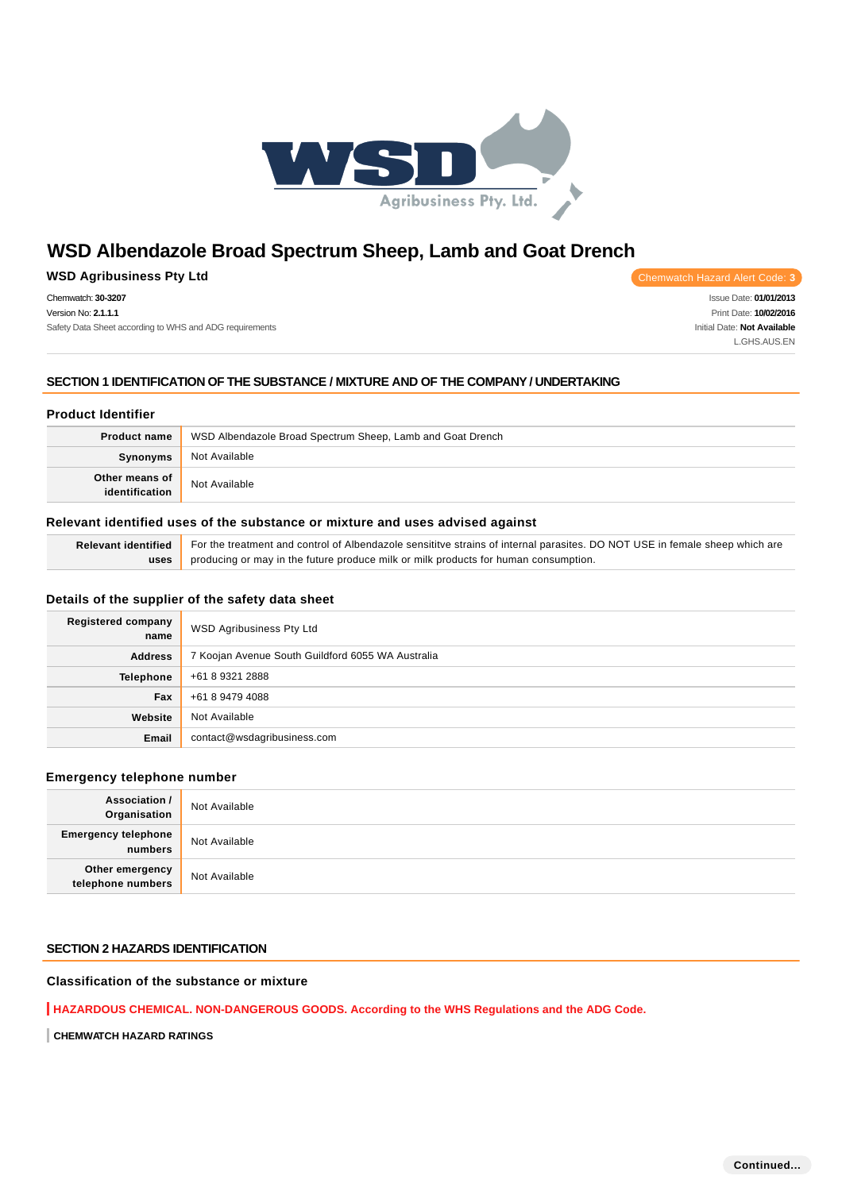

## **WSD Agribusiness Pty Ltd Chemwatch Hazard Alert Code: 3**

Chemwatch: **30-3207** Version No: **2.1.1.1** Safety Data Sheet according to WHS and ADG requirements

Issue Date: **01/01/2013** Print Date: **10/02/2016** Initial Date: **Not Available** L.GHS.AUS.EN

### **SECTION 1 IDENTIFICATION OF THE SUBSTANCE / MIXTURE AND OF THE COMPANY / UNDERTAKING**

### **Product Identifier**

| Product name   | WSD Albendazole Broad Spectrum Sheep, Lamb and Goat Drench |
|----------------|------------------------------------------------------------|
| Synonyms       | Not Available                                              |
| Other means of | Not Available                                              |

### **Relevant identified uses of the substance or mixture and uses advised against**

| Relevant identified For the treatment and control of Albendazole sensititve strains of internal parasites. DO NOT USE in female sheep which are |
|-------------------------------------------------------------------------------------------------------------------------------------------------|
| uses producing or may in the future produce milk or milk products for human consumption.                                                        |

### **Details of the supplier of the safety data sheet**

| <b>Registered company</b><br>name | WSD Agribusiness Pty Ltd                          |
|-----------------------------------|---------------------------------------------------|
| <b>Address</b>                    | 7 Koojan Avenue South Guildford 6055 WA Australia |
| Telephone                         | +61 8 9321 2888                                   |
| Fax                               | +61 8 9479 4088                                   |
| Website                           | Not Available                                     |
| Email                             | contact@wsdagribusiness.com                       |

### **Emergency telephone number**

| <b>Association /</b><br>Organisation    | Not Available |
|-----------------------------------------|---------------|
| <b>Emergency telephone</b><br>  numbers | Not Available |
| Other emergency<br>telephone numbers    | Not Available |

### **SECTION 2 HAZARDS IDENTIFICATION**

## **Classification of the substance or mixture**

**HAZARDOUS CHEMICAL. NON-DANGEROUS GOODS. According to the WHS Regulations and the ADG Code.**

**CHEMWATCH HAZARD RATINGS**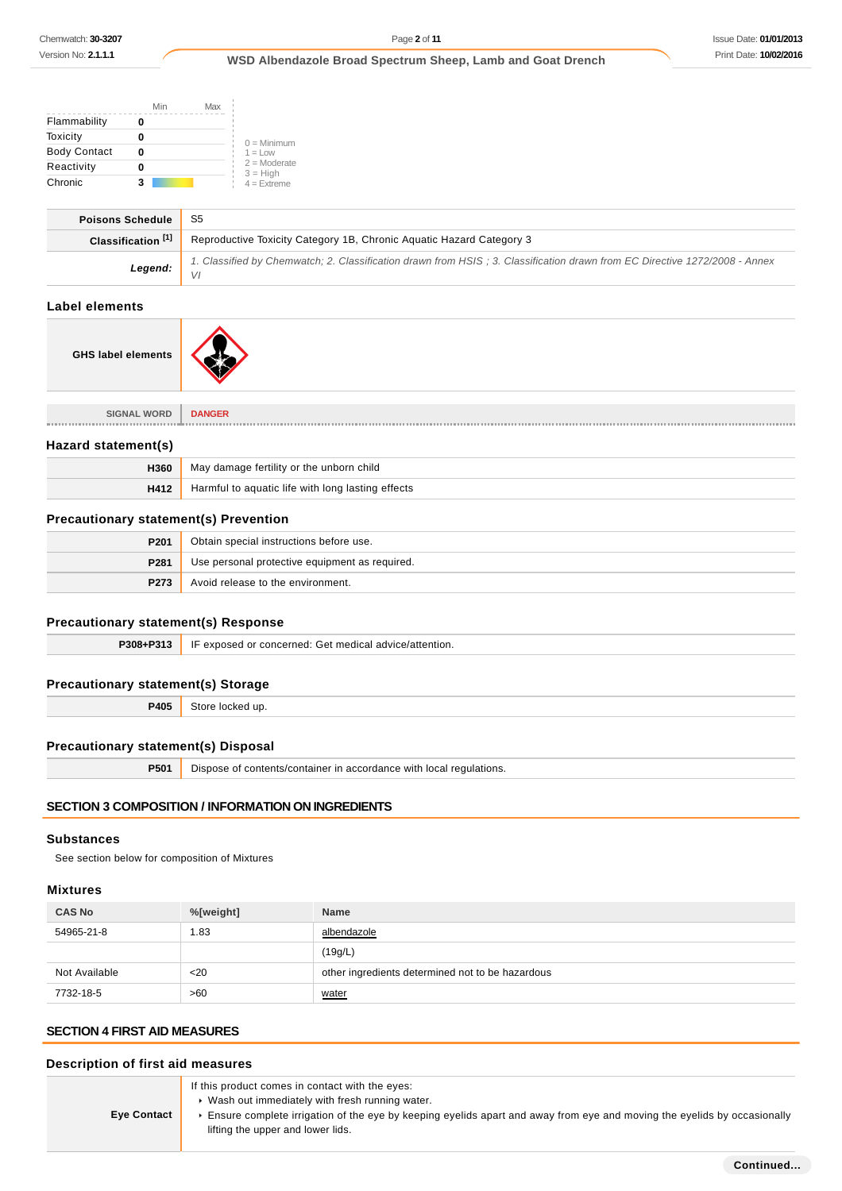|                     | Min | Max |                              |
|---------------------|-----|-----|------------------------------|
| Flammability        |     |     |                              |
| Toxicity            |     |     | $0 =$ Minimum                |
| <b>Body Contact</b> | Ω   |     | $1 = 1$ OW                   |
| Reactivity          | n   |     | $2 =$ Moderate<br>$3 = High$ |
| Chronic             | 3   |     | $4 =$ Extreme                |

| <b>Poisons Schedule</b>       | S5                                                                                                                               |
|-------------------------------|----------------------------------------------------------------------------------------------------------------------------------|
| Classification <sup>[1]</sup> | Reproductive Toxicity Category 1B, Chronic Aguatic Hazard Category 3                                                             |
| Legend:                       | 1. Classified by Chemwatch; 2. Classification drawn from HSIS; 3. Classification drawn from EC Directive 1272/2008 - Annex<br>VI |
| .                             |                                                                                                                                  |

## **Label elements**



| <b>SIGNAL WORD</b>  | <b>DANGER</b>                                     |
|---------------------|---------------------------------------------------|
| Hazard statement(s) |                                                   |
| H360                | May damage fertility or the unborn child          |
| H412                | Harmful to aquatic life with long lasting effects |

## **Precautionary statement(s) Prevention**

| P201 | Obtain special instructions before use.        |
|------|------------------------------------------------|
| P281 | Use personal protective equipment as required. |
| P273 | Avoid release to the environment.              |

## **Precautionary statement(s) Response**

| P308+P313 | IF exposed or concerned: Get medical advice/attention. |
|-----------|--------------------------------------------------------|
|           | .                                                      |

## **Precautionary statement(s) Storage**

**P405** Store locked up.

### **Precautionary statement(s) Disposal**

**P501** Dispose of contents/container in accordance with local regulations.

### **SECTION 3 COMPOSITION / INFORMATION ON INGREDIENTS**

## **Substances**

See section below for composition of Mixtures

## **Mixtures**

| <b>CAS No</b> | %[weight] | <b>Name</b>                                      |
|---------------|-----------|--------------------------------------------------|
| 54965-21-8    | . 83      | albendazole                                      |
|               |           | (19g/L)                                          |
| Not Available | $20$      | other ingredients determined not to be hazardous |
| 7732-18-5     | >60       | water                                            |

## **SECTION 4 FIRST AID MEASURES**

| Description of first aid measures |                                                                                                                                                                                                                                                                     |  |
|-----------------------------------|---------------------------------------------------------------------------------------------------------------------------------------------------------------------------------------------------------------------------------------------------------------------|--|
| <b>Eye Contact</b>                | If this product comes in contact with the eyes:<br>• Wash out immediately with fresh running water.<br>Ensure complete irrigation of the eye by keeping eyelids apart and away from eye and moving the eyelids by occasionally<br>lifting the upper and lower lids. |  |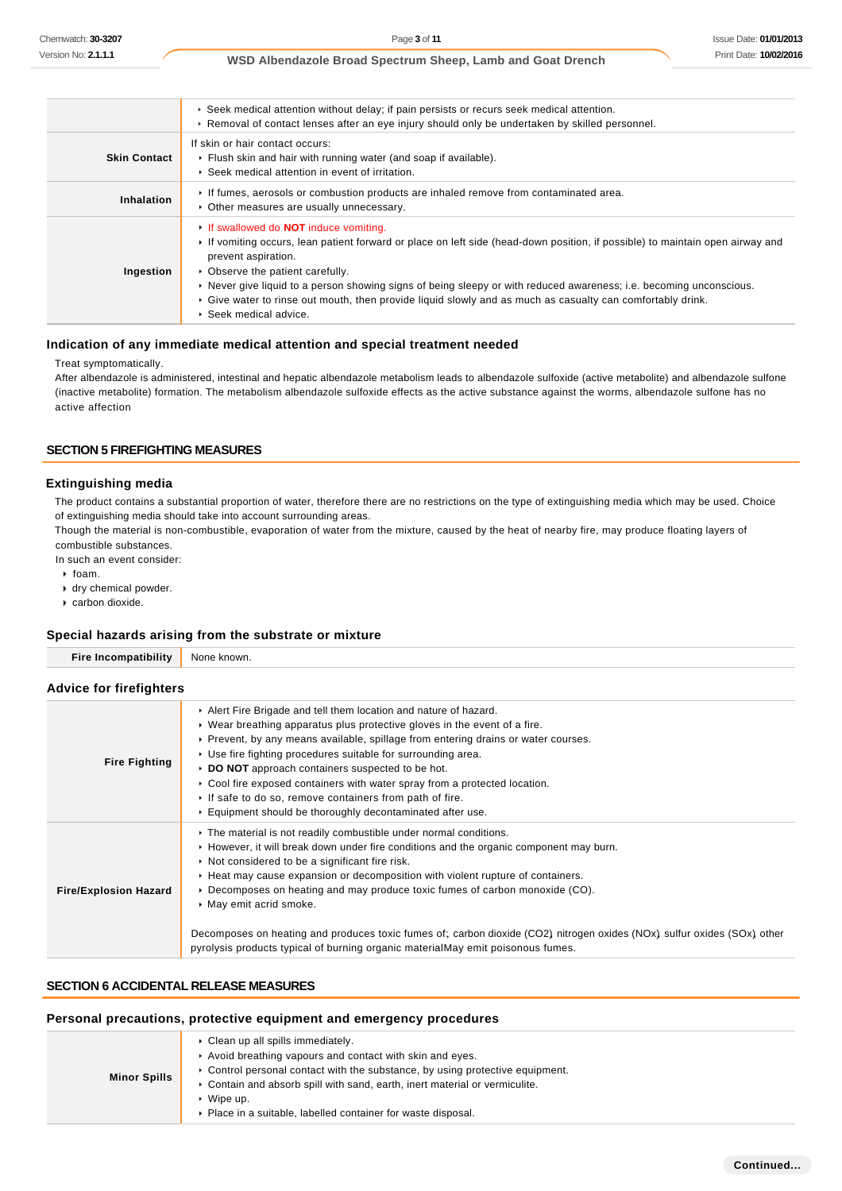|                     | ► Seek medical attention without delay; if pain persists or recurs seek medical attention.<br>► Removal of contact lenses after an eye injury should only be undertaken by skilled personnel.                                                                                                                                                                                                                                                                                                         |
|---------------------|-------------------------------------------------------------------------------------------------------------------------------------------------------------------------------------------------------------------------------------------------------------------------------------------------------------------------------------------------------------------------------------------------------------------------------------------------------------------------------------------------------|
| <b>Skin Contact</b> | If skin or hair contact occurs:<br>• Flush skin and hair with running water (and soap if available).<br>▶ Seek medical attention in event of irritation.                                                                                                                                                                                                                                                                                                                                              |
| Inhalation          | If fumes, aerosols or combustion products are inhaled remove from contaminated area.<br>• Other measures are usually unnecessary.                                                                                                                                                                                                                                                                                                                                                                     |
| Ingestion           | <b>If swallowed do NOT induce vomiting.</b><br>If vomiting occurs, lean patient forward or place on left side (head-down position, if possible) to maintain open airway and<br>prevent aspiration.<br>• Observe the patient carefully.<br>► Never give liquid to a person showing signs of being sleepy or with reduced awareness; i.e. becoming unconscious.<br>► Give water to rinse out mouth, then provide liquid slowly and as much as casualty can comfortably drink.<br>▶ Seek medical advice. |

### **Indication of any immediate medical attention and special treatment needed**

### Treat symptomatically.

After albendazole is administered, intestinal and hepatic albendazole metabolism leads to albendazole sulfoxide (active metabolite) and albendazole sulfone (inactive metabolite) formation. The metabolism albendazole sulfoxide effects as the active substance against the worms, albendazole sulfone has no active affection

### **SECTION 5 FIREFIGHTING MEASURES**

#### **Extinguishing media**

The product contains a substantial proportion of water, therefore there are no restrictions on the type of extinguishing media which may be used. Choice of extinguishing media should take into account surrounding areas.

Though the material is non-combustible, evaporation of water from the mixture, caused by the heat of nearby fire, may produce floating layers of combustible substances.

In such an event consider:

- $\rightarrow$  foam.
- dry chemical powder.
- carbon dioxide.

### **Special hazards arising from the substrate or mixture**

| Special hazards arising from the substrate or mixture |                                                                                                                                                                                                                                                                                                                                                                                                                                                                                                                                                                                                                            |  |  |
|-------------------------------------------------------|----------------------------------------------------------------------------------------------------------------------------------------------------------------------------------------------------------------------------------------------------------------------------------------------------------------------------------------------------------------------------------------------------------------------------------------------------------------------------------------------------------------------------------------------------------------------------------------------------------------------------|--|--|
| <b>Fire Incompatibility</b>                           | None known.                                                                                                                                                                                                                                                                                                                                                                                                                                                                                                                                                                                                                |  |  |
| <b>Advice for firefighters</b>                        |                                                                                                                                                                                                                                                                                                                                                                                                                                                                                                                                                                                                                            |  |  |
| <b>Fire Fighting</b>                                  | Alert Fire Brigade and tell them location and nature of hazard.<br>$\triangleright$ Wear breathing apparatus plus protective gloves in the event of a fire.<br>▶ Prevent, by any means available, spillage from entering drains or water courses.<br>■ Use fire fighting procedures suitable for surrounding area.<br>DO NOT approach containers suspected to be hot.<br>$\triangleright$ Cool fire exposed containers with water spray from a protected location.<br>If safe to do so, remove containers from path of fire.<br>Equipment should be thoroughly decontaminated after use.                                   |  |  |
| <b>Fire/Explosion Hazard</b>                          | The material is not readily combustible under normal conditions.<br>► However, it will break down under fire conditions and the organic component may burn.<br>• Not considered to be a significant fire risk.<br>► Heat may cause expansion or decomposition with violent rupture of containers.<br>▶ Decomposes on heating and may produce toxic fumes of carbon monoxide (CO).<br>• May emit acrid smoke.<br>Decomposes on heating and produces toxic fumes of; carbon dioxide (CO2) nitrogen oxides (NOx) sulfur oxides (SOx) other<br>pyrolysis products typical of burning organic materialMay emit poisonous fumes. |  |  |

## **SECTION 6 ACCIDENTAL RELEASE MEASURES**

### **Personal precautions, protective equipment and emergency procedures**

| <b>Minor Spills</b> | ▶ Clean up all spills immediately.                                            |
|---------------------|-------------------------------------------------------------------------------|
|                     | Avoid breathing vapours and contact with skin and eyes.                       |
|                     | ► Control personal contact with the substance, by using protective equipment. |
|                     | ► Contain and absorb spill with sand, earth, inert material or vermiculite.   |
|                     | Wipe up.                                                                      |
|                     | ▶ Place in a suitable, labelled container for waste disposal.                 |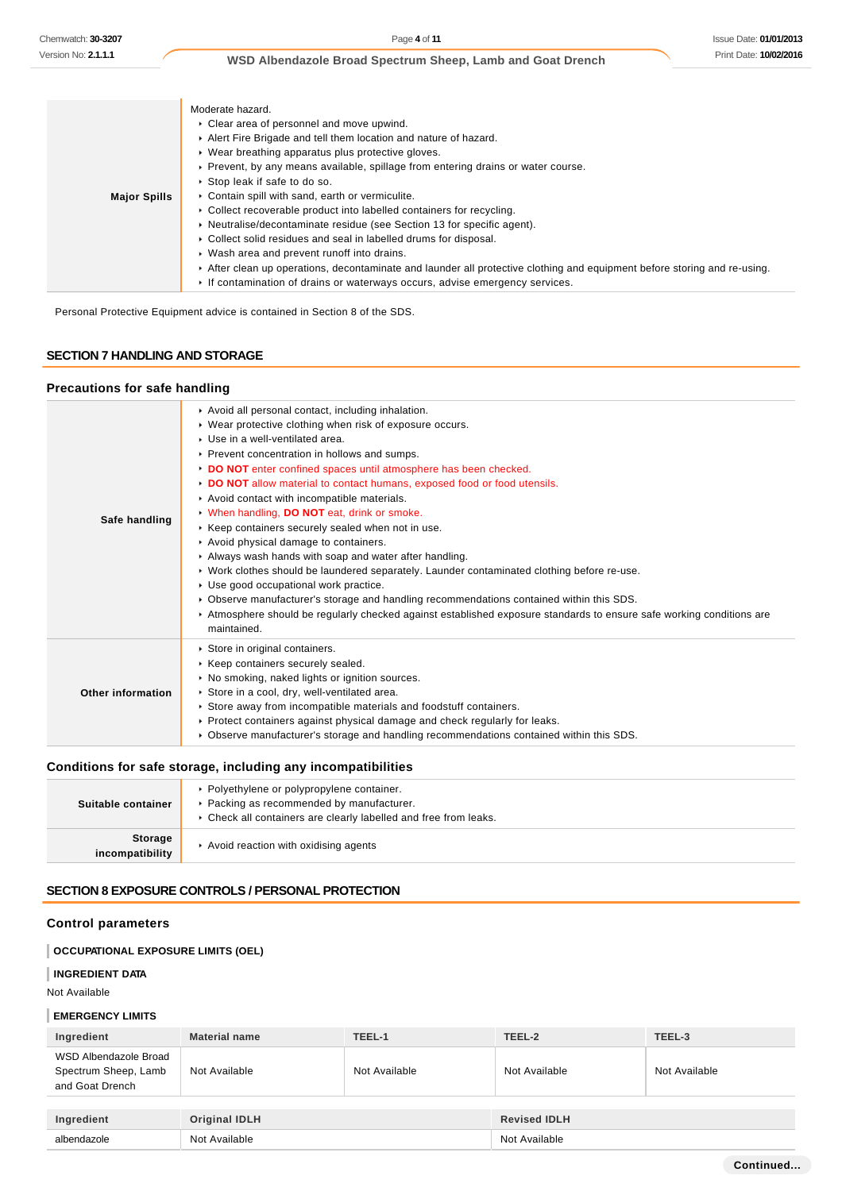| Moderate hazard.                                                                                                        |
|-------------------------------------------------------------------------------------------------------------------------|
| Clear area of personnel and move upwind.                                                                                |
| Alert Fire Brigade and tell them location and nature of hazard.                                                         |
| • Wear breathing apparatus plus protective gloves.                                                                      |
| ▶ Prevent, by any means available, spillage from entering drains or water course.                                       |
| ▶ Stop leak if safe to do so.                                                                                           |
| • Contain spill with sand, earth or vermiculite.                                                                        |
| • Collect recoverable product into labelled containers for recycling.                                                   |
| • Neutralise/decontaminate residue (see Section 13 for specific agent).                                                 |
| • Collect solid residues and seal in labelled drums for disposal.                                                       |
| ▶ Wash area and prevent runoff into drains.                                                                             |
| After clean up operations, decontaminate and launder all protective clothing and equipment before storing and re-using. |
| If contamination of drains or waterways occurs, advise emergency services.                                              |
|                                                                                                                         |

Personal Protective Equipment advice is contained in Section 8 of the SDS.

## **SECTION 7 HANDLING AND STORAGE**

### **Precautions for safe handling**

| Safe handling     | Avoid all personal contact, including inhalation.<br>▶ Wear protective clothing when risk of exposure occurs.<br>$\triangleright$ Use in a well-ventilated area.<br>Prevent concentration in hollows and sumps.<br>DO NOT enter confined spaces until atmosphere has been checked.<br>DO NOT allow material to contact humans, exposed food or food utensils.<br>Avoid contact with incompatible materials.<br>V When handling, DO NOT eat, drink or smoke.<br>▶ Keep containers securely sealed when not in use.<br>Avoid physical damage to containers.<br>Always wash hands with soap and water after handling.<br>► Work clothes should be laundered separately. Launder contaminated clothing before re-use.<br>Use good occupational work practice.<br>► Observe manufacturer's storage and handling recommendations contained within this SDS.<br>▶ Atmosphere should be regularly checked against established exposure standards to ensure safe working conditions are<br>maintained. |
|-------------------|-----------------------------------------------------------------------------------------------------------------------------------------------------------------------------------------------------------------------------------------------------------------------------------------------------------------------------------------------------------------------------------------------------------------------------------------------------------------------------------------------------------------------------------------------------------------------------------------------------------------------------------------------------------------------------------------------------------------------------------------------------------------------------------------------------------------------------------------------------------------------------------------------------------------------------------------------------------------------------------------------|
| Other information | Store in original containers.<br>▶ Keep containers securely sealed.<br>No smoking, naked lights or ignition sources.<br>Store in a cool, dry, well-ventilated area.<br>Store away from incompatible materials and foodstuff containers.<br>▶ Protect containers against physical damage and check regularly for leaks.<br>► Observe manufacturer's storage and handling recommendations contained within this SDS.                                                                                                                                                                                                                                                                                                                                                                                                                                                                                                                                                                            |

## **Conditions for safe storage, including any incompatibilities**

| Suitable container                | ▶ Polyethylene or polypropylene container.<br>▶ Packing as recommended by manufacturer.<br>• Check all containers are clearly labelled and free from leaks. |
|-----------------------------------|-------------------------------------------------------------------------------------------------------------------------------------------------------------|
| <b>Storage</b><br>incompatibility | Avoid reaction with oxidising agents                                                                                                                        |

## **SECTION 8 EXPOSURE CONTROLS / PERSONAL PROTECTION**

## **Control parameters**

## **OCCUPATIONAL EXPOSURE LIMITS (OEL)**

### **INGREDIENT DATA**

Not Available

#### **EMERGENCY LIMITS**

| Ingredient                                                       | <b>Material name</b> | TEEL-1        | TEEL-2              | TEEL-3        |
|------------------------------------------------------------------|----------------------|---------------|---------------------|---------------|
| WSD Albendazole Broad<br>Spectrum Sheep, Lamb<br>and Goat Drench | Not Available        | Not Available | Not Available       | Not Available |
| Ingredient                                                       | <b>Original IDLH</b> |               | <b>Revised IDLH</b> |               |
| albendazole                                                      | Not Available        |               | Not Available       |               |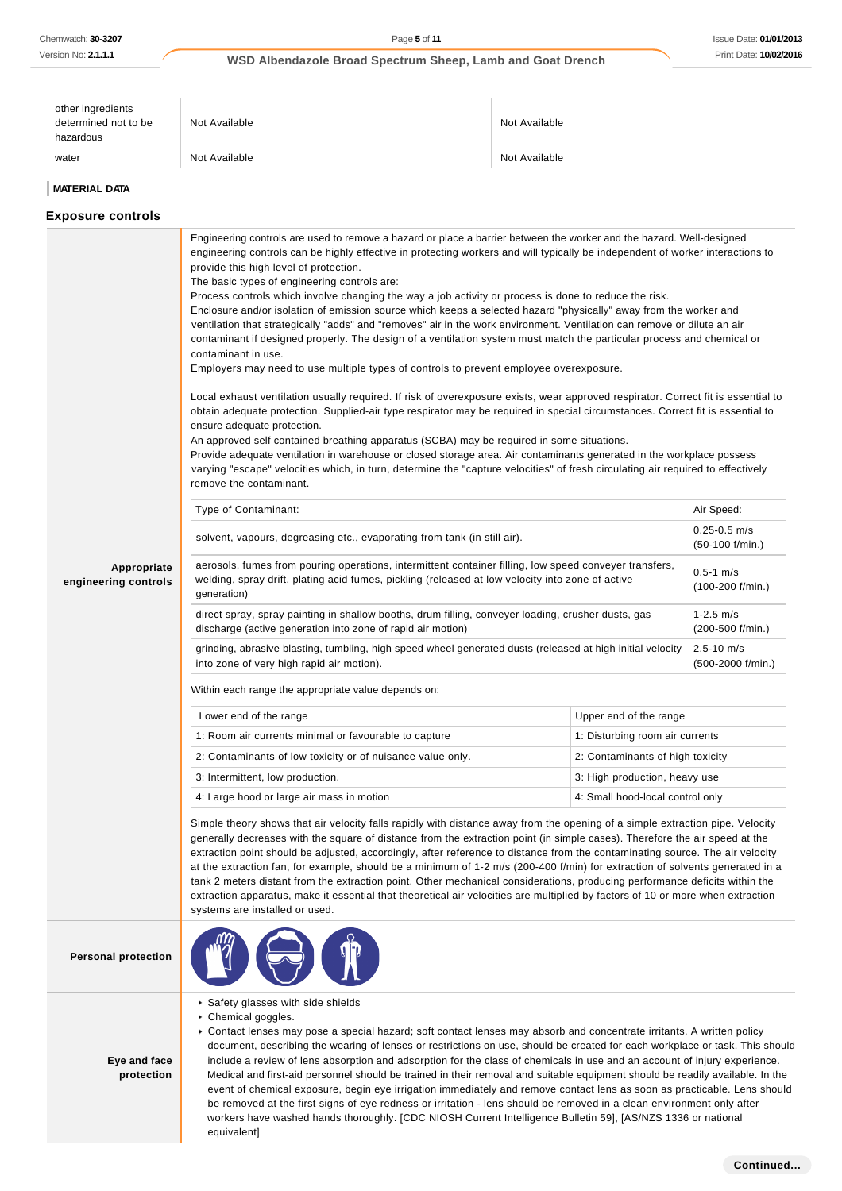| other ingredients<br>determined not to be<br>hazardous | Not Available | Not Available |
|--------------------------------------------------------|---------------|---------------|
| water                                                  | Not Available | Not Available |

## **MATERIAL DATA**

| <b>Exposure controls</b>            |                                                                                                                                                                                                                                                                                                                                                                                                                                                                                                                                                                                                                                                                                                                                                                                                                                                                                                                                                                                                                                                                                                                                                                                                                                                                                                                                                                                                                                                                                                                                                                                                                                                 |                                     |                                       |  |
|-------------------------------------|-------------------------------------------------------------------------------------------------------------------------------------------------------------------------------------------------------------------------------------------------------------------------------------------------------------------------------------------------------------------------------------------------------------------------------------------------------------------------------------------------------------------------------------------------------------------------------------------------------------------------------------------------------------------------------------------------------------------------------------------------------------------------------------------------------------------------------------------------------------------------------------------------------------------------------------------------------------------------------------------------------------------------------------------------------------------------------------------------------------------------------------------------------------------------------------------------------------------------------------------------------------------------------------------------------------------------------------------------------------------------------------------------------------------------------------------------------------------------------------------------------------------------------------------------------------------------------------------------------------------------------------------------|-------------------------------------|---------------------------------------|--|
|                                     | Engineering controls are used to remove a hazard or place a barrier between the worker and the hazard. Well-designed<br>engineering controls can be highly effective in protecting workers and will typically be independent of worker interactions to<br>provide this high level of protection.<br>The basic types of engineering controls are:<br>Process controls which involve changing the way a job activity or process is done to reduce the risk.<br>Enclosure and/or isolation of emission source which keeps a selected hazard "physically" away from the worker and<br>ventilation that strategically "adds" and "removes" air in the work environment. Ventilation can remove or dilute an air<br>contaminant if designed properly. The design of a ventilation system must match the particular process and chemical or<br>contaminant in use.<br>Employers may need to use multiple types of controls to prevent employee overexposure.<br>Local exhaust ventilation usually required. If risk of overexposure exists, wear approved respirator. Correct fit is essential to<br>obtain adequate protection. Supplied-air type respirator may be required in special circumstances. Correct fit is essential to<br>ensure adequate protection.<br>An approved self contained breathing apparatus (SCBA) may be required in some situations.<br>Provide adequate ventilation in warehouse or closed storage area. Air contaminants generated in the workplace possess<br>varying "escape" velocities which, in turn, determine the "capture velocities" of fresh circulating air required to effectively<br>remove the contaminant. |                                     |                                       |  |
|                                     | Type of Contaminant:                                                                                                                                                                                                                                                                                                                                                                                                                                                                                                                                                                                                                                                                                                                                                                                                                                                                                                                                                                                                                                                                                                                                                                                                                                                                                                                                                                                                                                                                                                                                                                                                                            |                                     | Air Speed:                            |  |
|                                     | solvent, vapours, degreasing etc., evaporating from tank (in still air).                                                                                                                                                                                                                                                                                                                                                                                                                                                                                                                                                                                                                                                                                                                                                                                                                                                                                                                                                                                                                                                                                                                                                                                                                                                                                                                                                                                                                                                                                                                                                                        |                                     | $0.25 - 0.5$ m/s<br>$(50-100$ f/min.) |  |
| Appropriate<br>engineering controls | aerosols, fumes from pouring operations, intermittent container filling, low speed conveyer transfers,<br>welding, spray drift, plating acid fumes, pickling (released at low velocity into zone of active<br>generation)                                                                                                                                                                                                                                                                                                                                                                                                                                                                                                                                                                                                                                                                                                                                                                                                                                                                                                                                                                                                                                                                                                                                                                                                                                                                                                                                                                                                                       | $0.5 - 1$ m/s<br>$(100-200$ f/min.) |                                       |  |
|                                     | direct spray, spray painting in shallow booths, drum filling, conveyer loading, crusher dusts, gas<br>discharge (active generation into zone of rapid air motion)                                                                                                                                                                                                                                                                                                                                                                                                                                                                                                                                                                                                                                                                                                                                                                                                                                                                                                                                                                                                                                                                                                                                                                                                                                                                                                                                                                                                                                                                               |                                     | $1 - 2.5$ m/s<br>$(200-500 f/min.)$   |  |
|                                     | grinding, abrasive blasting, tumbling, high speed wheel generated dusts (released at high initial velocity<br>into zone of very high rapid air motion).                                                                                                                                                                                                                                                                                                                                                                                                                                                                                                                                                                                                                                                                                                                                                                                                                                                                                                                                                                                                                                                                                                                                                                                                                                                                                                                                                                                                                                                                                         |                                     | $2.5 - 10$ m/s<br>(500-2000 f/min.)   |  |
|                                     | Within each range the appropriate value depends on:                                                                                                                                                                                                                                                                                                                                                                                                                                                                                                                                                                                                                                                                                                                                                                                                                                                                                                                                                                                                                                                                                                                                                                                                                                                                                                                                                                                                                                                                                                                                                                                             |                                     |                                       |  |
|                                     | Lower end of the range                                                                                                                                                                                                                                                                                                                                                                                                                                                                                                                                                                                                                                                                                                                                                                                                                                                                                                                                                                                                                                                                                                                                                                                                                                                                                                                                                                                                                                                                                                                                                                                                                          | Upper end of the range              |                                       |  |
|                                     | 1: Room air currents minimal or favourable to capture                                                                                                                                                                                                                                                                                                                                                                                                                                                                                                                                                                                                                                                                                                                                                                                                                                                                                                                                                                                                                                                                                                                                                                                                                                                                                                                                                                                                                                                                                                                                                                                           | 1: Disturbing room air currents     |                                       |  |
|                                     | 2: Contaminants of low toxicity or of nuisance value only.                                                                                                                                                                                                                                                                                                                                                                                                                                                                                                                                                                                                                                                                                                                                                                                                                                                                                                                                                                                                                                                                                                                                                                                                                                                                                                                                                                                                                                                                                                                                                                                      | 2: Contaminants of high toxicity    |                                       |  |
|                                     | 3: Intermittent, low production.                                                                                                                                                                                                                                                                                                                                                                                                                                                                                                                                                                                                                                                                                                                                                                                                                                                                                                                                                                                                                                                                                                                                                                                                                                                                                                                                                                                                                                                                                                                                                                                                                | 3: High production, heavy use       |                                       |  |
|                                     | 4: Large hood or large air mass in motion                                                                                                                                                                                                                                                                                                                                                                                                                                                                                                                                                                                                                                                                                                                                                                                                                                                                                                                                                                                                                                                                                                                                                                                                                                                                                                                                                                                                                                                                                                                                                                                                       | 4: Small hood-local control only    |                                       |  |
|                                     | Simple theory shows that air velocity falls rapidly with distance away from the opening of a simple extraction pipe. Velocity<br>generally decreases with the square of distance from the extraction point (in simple cases). Therefore the air speed at the<br>extraction point should be adjusted, accordingly, after reference to distance from the contaminating source. The air velocity<br>at the extraction fan, for example, should be a minimum of 1-2 m/s (200-400 f/min) for extraction of solvents generated in a<br>tank 2 meters distant from the extraction point. Other mechanical considerations, producing performance deficits within the<br>extraction apparatus, make it essential that theoretical air velocities are multiplied by factors of 10 or more when extraction<br>systems are installed or used.                                                                                                                                                                                                                                                                                                                                                                                                                                                                                                                                                                                                                                                                                                                                                                                                               |                                     |                                       |  |
| <b>Personal protection</b>          |                                                                                                                                                                                                                                                                                                                                                                                                                                                                                                                                                                                                                                                                                                                                                                                                                                                                                                                                                                                                                                                                                                                                                                                                                                                                                                                                                                                                                                                                                                                                                                                                                                                 |                                     |                                       |  |
| Eye and face<br>protection          | Safety glasses with side shields<br>Chemical goggles.<br>► Contact lenses may pose a special hazard; soft contact lenses may absorb and concentrate irritants. A written policy<br>document, describing the wearing of lenses or restrictions on use, should be created for each workplace or task. This should<br>include a review of lens absorption and adsorption for the class of chemicals in use and an account of injury experience.<br>Medical and first-aid personnel should be trained in their removal and suitable equipment should be readily available. In the<br>event of chemical exposure, begin eye irrigation immediately and remove contact lens as soon as practicable. Lens should<br>be removed at the first signs of eye redness or irritation - lens should be removed in a clean environment only after<br>workers have washed hands thoroughly. [CDC NIOSH Current Intelligence Bulletin 59], [AS/NZS 1336 or national                                                                                                                                                                                                                                                                                                                                                                                                                                                                                                                                                                                                                                                                                              |                                     |                                       |  |

equivalent]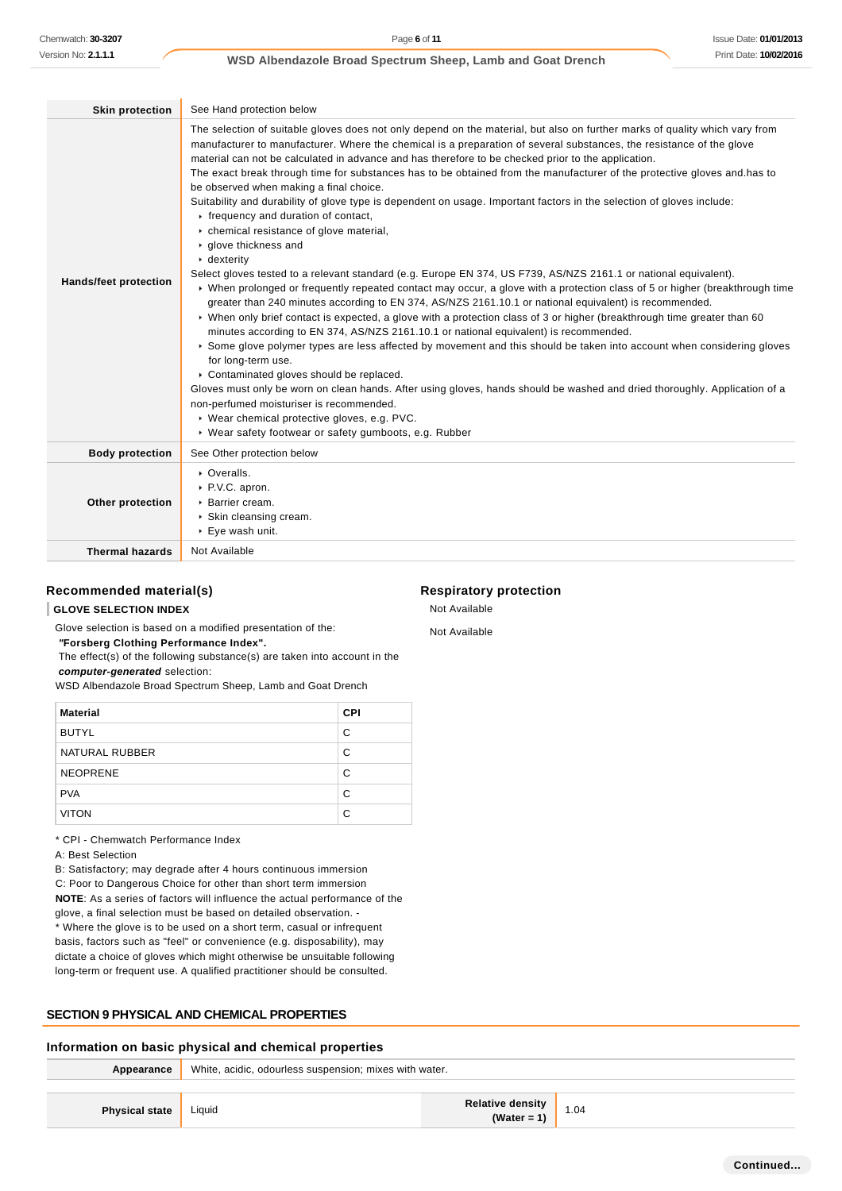| <b>Skin protection</b>       | See Hand protection below                                                                                                                                                                                                                                                                                                                                                                                                                                                                                                                                                                                                                                                                                                                                                                                                                                                                                                                                                                                                                                                                                                                                                                                                                                                                                                                                                                                                                                                                                                                                                                                                                                                                                                                                                                                                                                   |
|------------------------------|-------------------------------------------------------------------------------------------------------------------------------------------------------------------------------------------------------------------------------------------------------------------------------------------------------------------------------------------------------------------------------------------------------------------------------------------------------------------------------------------------------------------------------------------------------------------------------------------------------------------------------------------------------------------------------------------------------------------------------------------------------------------------------------------------------------------------------------------------------------------------------------------------------------------------------------------------------------------------------------------------------------------------------------------------------------------------------------------------------------------------------------------------------------------------------------------------------------------------------------------------------------------------------------------------------------------------------------------------------------------------------------------------------------------------------------------------------------------------------------------------------------------------------------------------------------------------------------------------------------------------------------------------------------------------------------------------------------------------------------------------------------------------------------------------------------------------------------------------------------|
| <b>Hands/feet protection</b> | The selection of suitable gloves does not only depend on the material, but also on further marks of quality which vary from<br>manufacturer to manufacturer. Where the chemical is a preparation of several substances, the resistance of the glove<br>material can not be calculated in advance and has therefore to be checked prior to the application.<br>The exact break through time for substances has to be obtained from the manufacturer of the protective gloves and has to<br>be observed when making a final choice.<br>Suitability and durability of glove type is dependent on usage. Important factors in the selection of gloves include:<br>Firequency and duration of contact,<br>• chemical resistance of glove material,<br>▶ glove thickness and<br>$\cdot$ dexterity<br>Select gloves tested to a relevant standard (e.g. Europe EN 374, US F739, AS/NZS 2161.1 or national equivalent).<br>▶ When prolonged or frequently repeated contact may occur, a glove with a protection class of 5 or higher (breakthrough time<br>greater than 240 minutes according to EN 374, AS/NZS 2161.10.1 or national equivalent) is recommended.<br>• When only brief contact is expected, a glove with a protection class of 3 or higher (breakthrough time greater than 60<br>minutes according to EN 374, AS/NZS 2161.10.1 or national equivalent) is recommended.<br>Some glove polymer types are less affected by movement and this should be taken into account when considering gloves<br>for long-term use.<br>Contaminated gloves should be replaced.<br>Gloves must only be worn on clean hands. After using gloves, hands should be washed and dried thoroughly. Application of a<br>non-perfumed moisturiser is recommended.<br>▶ Wear chemical protective gloves, e.g. PVC.<br>▶ Wear safety footwear or safety gumboots, e.g. Rubber |
| <b>Body protection</b>       | See Other protection below                                                                                                                                                                                                                                                                                                                                                                                                                                                                                                                                                                                                                                                                                                                                                                                                                                                                                                                                                                                                                                                                                                                                                                                                                                                                                                                                                                                                                                                                                                                                                                                                                                                                                                                                                                                                                                  |
| Other protection             | • Overalls.<br>P.V.C. apron.<br>▶ Barrier cream.<br>Skin cleansing cream.<br>▶ Eye wash unit.                                                                                                                                                                                                                                                                                                                                                                                                                                                                                                                                                                                                                                                                                                                                                                                                                                                                                                                                                                                                                                                                                                                                                                                                                                                                                                                                                                                                                                                                                                                                                                                                                                                                                                                                                               |
| <b>Thermal hazards</b>       | Not Available                                                                                                                                                                                                                                                                                                                                                                                                                                                                                                                                                                                                                                                                                                                                                                                                                                                                                                                                                                                                                                                                                                                                                                                                                                                                                                                                                                                                                                                                                                                                                                                                                                                                                                                                                                                                                                               |

### **Recommended material(s)**

### **GLOVE SELECTION INDEX**

Glove selection is based on a modified presentation of the:

 **"Forsberg Clothing Performance Index".**

 The effect(s) of the following substance(s) are taken into account in the **computer-generated** selection:

WSD Albendazole Broad Spectrum Sheep, Lamb and Goat Drench

| <b>Material</b> | <b>CPI</b> |
|-----------------|------------|
| <b>BUTYL</b>    | C          |
| NATURAL RUBBER  | С          |
| <b>NEOPRENE</b> | C          |
| <b>PVA</b>      | C          |
| <b>VITON</b>    | С          |

\* CPI - Chemwatch Performance Index

A: Best Selection

B: Satisfactory; may degrade after 4 hours continuous immersion C: Poor to Dangerous Choice for other than short term immersion **NOTE**: As a series of factors will influence the actual performance of the glove, a final selection must be based on detailed observation. - \* Where the glove is to be used on a short term, casual or infrequent basis, factors such as "feel" or convenience (e.g. disposability), may dictate a choice of gloves which might otherwise be unsuitable following long-term or frequent use. A qualified practitioner should be consulted.

## **SECTION 9 PHYSICAL AND CHEMICAL PROPERTIES**

### **Information on basic physical and chemical properties**

| Appearance            | White, acidic, odourless suspension; mixes with water. |                                 |              |
|-----------------------|--------------------------------------------------------|---------------------------------|--------------|
|                       |                                                        |                                 |              |
| <b>Physical state</b> | Liquid                                                 | Relative density<br>(Water = 1) | $\vert$ 1.04 |

### **Respiratory protection**

Not Available

Not Available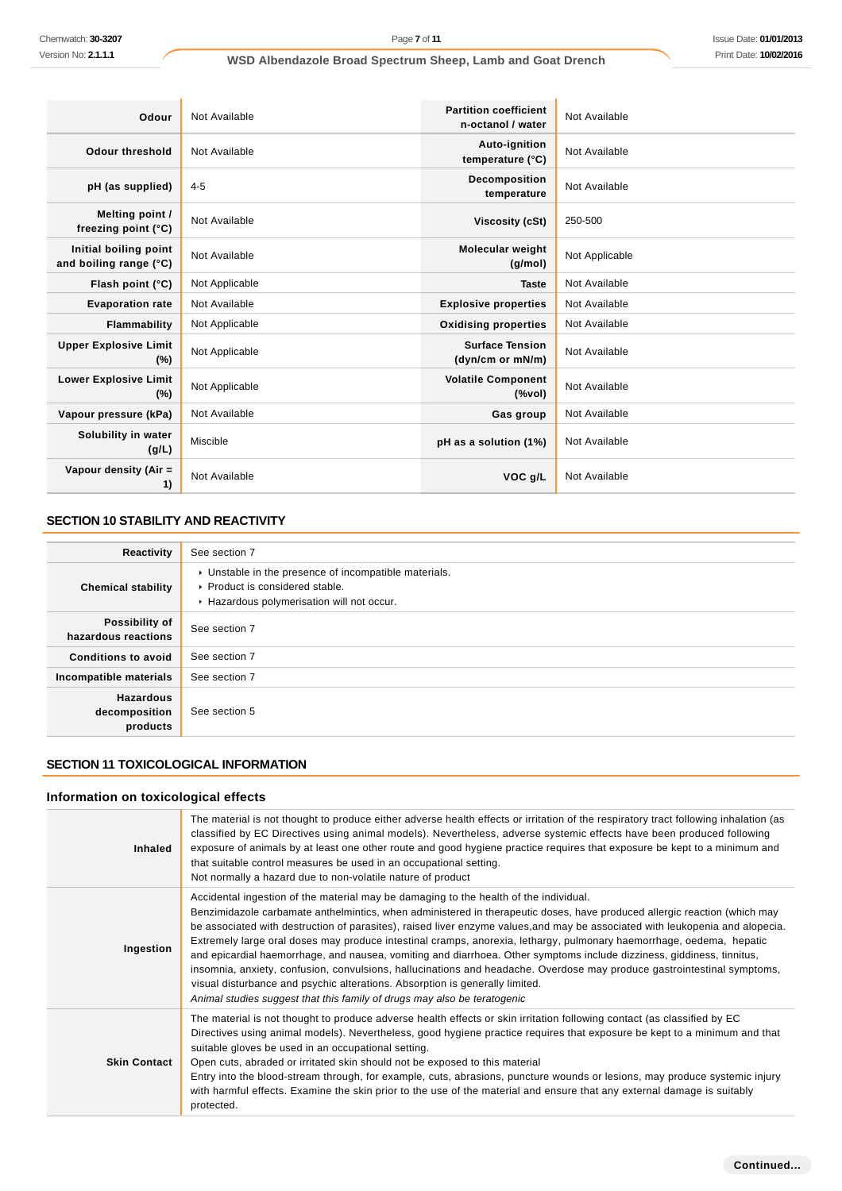| Odour                                           | Not Available  | <b>Partition coefficient</b><br>n-octanol / water | Not Available  |
|-------------------------------------------------|----------------|---------------------------------------------------|----------------|
| Odour threshold                                 | Not Available  | Auto-ignition<br>temperature (°C)                 | Not Available  |
| pH (as supplied)                                | $4 - 5$        | Decomposition<br>temperature                      | Not Available  |
| Melting point /<br>freezing point (°C)          | Not Available  | Viscosity (cSt)                                   | 250-500        |
| Initial boiling point<br>and boiling range (°C) | Not Available  | <b>Molecular weight</b><br>(g/mol)                | Not Applicable |
| Flash point (°C)                                | Not Applicable | <b>Taste</b>                                      | Not Available  |
| <b>Evaporation rate</b>                         | Not Available  | <b>Explosive properties</b>                       | Not Available  |
| <b>Flammability</b>                             | Not Applicable | <b>Oxidising properties</b>                       | Not Available  |
| <b>Upper Explosive Limit</b><br>$(\%)$          | Not Applicable | <b>Surface Tension</b><br>(dyn/cm or mN/m)        | Not Available  |
| <b>Lower Explosive Limit</b><br>(%)             | Not Applicable | <b>Volatile Component</b><br>$(\%$ vol)           | Not Available  |
| Vapour pressure (kPa)                           | Not Available  | Gas group                                         | Not Available  |
| Solubility in water<br>(g/L)                    | Miscible       | pH as a solution (1%)                             | Not Available  |
| Vapour density (Air =<br>1)                     | Not Available  | VOC g/L                                           | Not Available  |

## **SECTION 10 STABILITY AND REACTIVITY**

| Reactivity                                    | See section 7                                                                                                                        |
|-----------------------------------------------|--------------------------------------------------------------------------------------------------------------------------------------|
| <b>Chemical stability</b>                     | • Unstable in the presence of incompatible materials.<br>▶ Product is considered stable.<br>Hazardous polymerisation will not occur. |
| Possibility of<br>hazardous reactions         | See section 7                                                                                                                        |
| <b>Conditions to avoid</b>                    | See section 7                                                                                                                        |
| Incompatible materials                        | See section 7                                                                                                                        |
| <b>Hazardous</b><br>decomposition<br>products | See section 5                                                                                                                        |

## **SECTION 11 TOXICOLOGICAL INFORMATION**

## **Information on toxicological effects**

| <b>Inhaled</b>      | The material is not thought to produce either adverse health effects or irritation of the respiratory tract following inhalation (as<br>classified by EC Directives using animal models). Nevertheless, adverse systemic effects have been produced following<br>exposure of animals by at least one other route and good hygiene practice requires that exposure be kept to a minimum and<br>that suitable control measures be used in an occupational setting.<br>Not normally a hazard due to non-volatile nature of product                                                                                                                                                                                                                                                                                                                                                              |
|---------------------|----------------------------------------------------------------------------------------------------------------------------------------------------------------------------------------------------------------------------------------------------------------------------------------------------------------------------------------------------------------------------------------------------------------------------------------------------------------------------------------------------------------------------------------------------------------------------------------------------------------------------------------------------------------------------------------------------------------------------------------------------------------------------------------------------------------------------------------------------------------------------------------------|
| Ingestion           | Accidental ingestion of the material may be damaging to the health of the individual.<br>Benzimidazole carbamate anthelmintics, when administered in therapeutic doses, have produced allergic reaction (which may<br>be associated with destruction of parasites), raised liver enzyme values, and may be associated with leukopenia and alopecia.<br>Extremely large oral doses may produce intestinal cramps, anorexia, lethargy, pulmonary haemorrhage, oedema, hepatic<br>and epicardial haemorrhage, and nausea, vomiting and diarrhoea. Other symptoms include dizziness, giddiness, tinnitus,<br>insomnia, anxiety, confusion, convulsions, hallucinations and headache. Overdose may produce gastrointestinal symptoms,<br>visual disturbance and psychic alterations. Absorption is generally limited.<br>Animal studies suggest that this family of drugs may also be teratogenic |
| <b>Skin Contact</b> | The material is not thought to produce adverse health effects or skin irritation following contact (as classified by EC<br>Directives using animal models). Nevertheless, good hygiene practice requires that exposure be kept to a minimum and that<br>suitable gloves be used in an occupational setting.<br>Open cuts, abraded or irritated skin should not be exposed to this material<br>Entry into the blood-stream through, for example, cuts, abrasions, puncture wounds or lesions, may produce systemic injury<br>with harmful effects. Examine the skin prior to the use of the material and ensure that any external damage is suitably<br>protected.                                                                                                                                                                                                                            |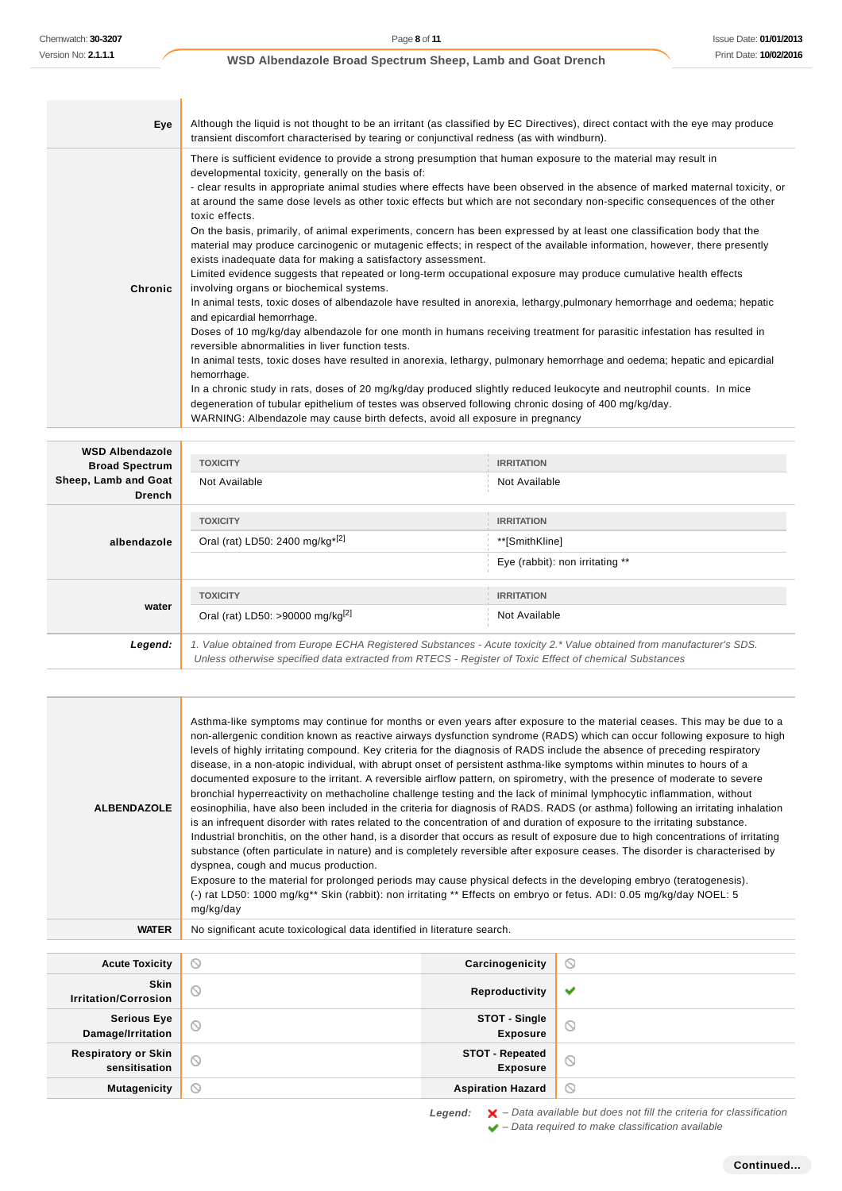| Eye     | Although the liquid is not thought to be an irritant (as classified by EC Directives), direct contact with the eye may produce<br>transient discomfort characterised by tearing or conjunctival redness (as with windburn).                                                                                                                                                                                                                                                                                                                                                                                                                                                                                                                                                                                                                                                                                                                                                                                                                                                                                                                                                                                                                                                                                                                                                                                                                                                                                                                                                                                                                                                                                                                         |
|---------|-----------------------------------------------------------------------------------------------------------------------------------------------------------------------------------------------------------------------------------------------------------------------------------------------------------------------------------------------------------------------------------------------------------------------------------------------------------------------------------------------------------------------------------------------------------------------------------------------------------------------------------------------------------------------------------------------------------------------------------------------------------------------------------------------------------------------------------------------------------------------------------------------------------------------------------------------------------------------------------------------------------------------------------------------------------------------------------------------------------------------------------------------------------------------------------------------------------------------------------------------------------------------------------------------------------------------------------------------------------------------------------------------------------------------------------------------------------------------------------------------------------------------------------------------------------------------------------------------------------------------------------------------------------------------------------------------------------------------------------------------------|
| Chronic | There is sufficient evidence to provide a strong presumption that human exposure to the material may result in<br>developmental toxicity, generally on the basis of:<br>- clear results in appropriate animal studies where effects have been observed in the absence of marked maternal toxicity, or<br>at around the same dose levels as other toxic effects but which are not secondary non-specific consequences of the other<br>toxic effects.<br>On the basis, primarily, of animal experiments, concern has been expressed by at least one classification body that the<br>material may produce carcinogenic or mutagenic effects; in respect of the available information, however, there presently<br>exists inadequate data for making a satisfactory assessment.<br>Limited evidence suggests that repeated or long-term occupational exposure may produce cumulative health effects<br>involving organs or biochemical systems.<br>In animal tests, toxic doses of albendazole have resulted in anorexia, lethargy, pulmonary hemorrhage and oedema; hepatic<br>and epicardial hemorrhage.<br>Doses of 10 mg/kg/day albendazole for one month in humans receiving treatment for parasitic infestation has resulted in<br>reversible abnormalities in liver function tests.<br>In animal tests, toxic doses have resulted in anorexia, lethargy, pulmonary hemorrhage and oedema; hepatic and epicardial<br>hemorrhage.<br>In a chronic study in rats, doses of 20 mg/kg/day produced slightly reduced leukocyte and neutrophil counts. In mice<br>degeneration of tubular epithelium of testes was observed following chronic dosing of 400 mg/kg/day.<br>WARNING: Albendazole may cause birth defects, avoid all exposure in pregnancy |

| <b>WSD Albendazole</b><br><b>Broad Spectrum</b><br>Sheep, Lamb and Goat<br><b>Drench</b> | <b>TOXICITY</b><br>Not Available                                                                                                                                                                                                | <b>IRRITATION</b><br>Not Available                                     |
|------------------------------------------------------------------------------------------|---------------------------------------------------------------------------------------------------------------------------------------------------------------------------------------------------------------------------------|------------------------------------------------------------------------|
| albendazole                                                                              | <b>TOXICITY</b><br>Oral (rat) LD50: 2400 mg/kg <sup>*[2]</sup>                                                                                                                                                                  | <b>IRRITATION</b><br>**[SmithKline]<br>Eye (rabbit): non irritating ** |
| water                                                                                    | <b>TOXICITY</b><br>Oral (rat) LD50: >90000 mg/kg <sup>[2]</sup>                                                                                                                                                                 | <b>IRRITATION</b><br>Not Available                                     |
| Legend:                                                                                  | 1. Value obtained from Europe ECHA Registered Substances - Acute toxicity 2.* Value obtained from manufacturer's SDS.<br>Unless otherwise specified data extracted from RTECS - Register of Toxic Effect of chemical Substances |                                                                        |

| Chemwatch: 30-3207                            | Page 8 of 11                                                                                                                                                                                                                                                     |                                         |                                 | <b>Issue Date: 01/01/20</b> |
|-----------------------------------------------|------------------------------------------------------------------------------------------------------------------------------------------------------------------------------------------------------------------------------------------------------------------|-----------------------------------------|---------------------------------|-----------------------------|
| Version No: <b>2.1.1.1</b>                    | WSD Albendazole Broad Spectrum Sheep, Lamb and Goat Drench                                                                                                                                                                                                       |                                         |                                 | Print Date: 10/02/20        |
|                                               |                                                                                                                                                                                                                                                                  |                                         |                                 |                             |
|                                               |                                                                                                                                                                                                                                                                  |                                         |                                 |                             |
| Eye                                           | Although the liquid is not thought to be an irritant (as classified by EC Directives), direct contact with the eye may produce<br>transient discomfort characterised by tearing or conjunctival redness (as with windburn).                                      |                                         |                                 |                             |
|                                               | There is sufficient evidence to provide a strong presumption that human exposure to the material may result in                                                                                                                                                   |                                         |                                 |                             |
|                                               | developmental toxicity, generally on the basis of:<br>- clear results in appropriate animal studies where effects have been observed in the absence of marked maternal toxicity, or                                                                              |                                         |                                 |                             |
|                                               | at around the same dose levels as other toxic effects but which are not secondary non-specific consequences of the other                                                                                                                                         |                                         |                                 |                             |
|                                               | toxic effects.                                                                                                                                                                                                                                                   |                                         |                                 |                             |
|                                               | On the basis, primarily, of animal experiments, concern has been expressed by at least one classification body that the<br>material may produce carcinogenic or mutagenic effects; in respect of the available information, however, there presently             |                                         |                                 |                             |
|                                               | exists inadequate data for making a satisfactory assessment.                                                                                                                                                                                                     |                                         |                                 |                             |
| Chronic                                       | Limited evidence suggests that repeated or long-term occupational exposure may produce cumulative health effects<br>involving organs or biochemical systems.                                                                                                     |                                         |                                 |                             |
|                                               | In animal tests, toxic doses of albendazole have resulted in anorexia, lethargy, pulmonary hemorrhage and oedema; hepatic                                                                                                                                        |                                         |                                 |                             |
|                                               | and epicardial hemorrhage.<br>Doses of 10 mg/kg/day albendazole for one month in humans receiving treatment for parasitic infestation has resulted in                                                                                                            |                                         |                                 |                             |
|                                               | reversible abnormalities in liver function tests.                                                                                                                                                                                                                |                                         |                                 |                             |
|                                               | In animal tests, toxic doses have resulted in anorexia, lethargy, pulmonary hemorrhage and oedema; hepatic and epicardial<br>hemorrhage.                                                                                                                         |                                         |                                 |                             |
|                                               | In a chronic study in rats, doses of 20 mg/kg/day produced slightly reduced leukocyte and neutrophil counts. In mice                                                                                                                                             |                                         |                                 |                             |
|                                               | degeneration of tubular epithelium of testes was observed following chronic dosing of 400 mg/kg/day.<br>WARNING: Albendazole may cause birth defects, avoid all exposure in pregnancy                                                                            |                                         |                                 |                             |
|                                               |                                                                                                                                                                                                                                                                  |                                         |                                 |                             |
| <b>WSD Albendazole</b>                        | <b>TOXICITY</b>                                                                                                                                                                                                                                                  | <b>IRRITATION</b>                       |                                 |                             |
| <b>Broad Spectrum</b><br>Sheep, Lamb and Goat | Not Available                                                                                                                                                                                                                                                    | Not Available                           |                                 |                             |
| <b>Drench</b>                                 |                                                                                                                                                                                                                                                                  |                                         |                                 |                             |
|                                               | <b>TOXICITY</b>                                                                                                                                                                                                                                                  | <b>IRRITATION</b>                       |                                 |                             |
| albendazole                                   | Oral (rat) LD50: 2400 mg/kg <sup>*[2]</sup>                                                                                                                                                                                                                      | **[SmithKline]                          |                                 |                             |
|                                               |                                                                                                                                                                                                                                                                  |                                         | Eye (rabbit): non irritating ** |                             |
|                                               | <b>TOXICITY</b>                                                                                                                                                                                                                                                  | <b>IRRITATION</b>                       |                                 |                             |
| water                                         | Oral (rat) LD50: >90000 mg/kg <sup>[2]</sup>                                                                                                                                                                                                                     | Not Available                           |                                 |                             |
| Legend:                                       |                                                                                                                                                                                                                                                                  |                                         |                                 |                             |
|                                               | 1. Value obtained from Europe ECHA Registered Substances - Acute toxicity 2.* Value obtained from manufacturer's SDS.<br>Unless otherwise specified data extracted from RTECS - Register of Toxic Effect of chemical Substances                                  |                                         |                                 |                             |
|                                               |                                                                                                                                                                                                                                                                  |                                         |                                 |                             |
|                                               |                                                                                                                                                                                                                                                                  |                                         |                                 |                             |
|                                               | Asthma-like symptoms may continue for months or even years after exposure to the material ceases. This may be due to a                                                                                                                                           |                                         |                                 |                             |
|                                               | non-allergenic condition known as reactive airways dysfunction syndrome (RADS) which can occur following exposure to high<br>levels of highly irritating compound. Key criteria for the diagnosis of RADS include the absence of preceding respiratory           |                                         |                                 |                             |
|                                               | disease, in a non-atopic individual, with abrupt onset of persistent asthma-like symptoms within minutes to hours of a                                                                                                                                           |                                         |                                 |                             |
|                                               | documented exposure to the irritant. A reversible airflow pattern, on spirometry, with the presence of moderate to severe<br>bronchial hyperreactivity on methacholine challenge testing and the lack of minimal lymphocytic inflammation, without               |                                         |                                 |                             |
| <b>ALBENDAZOLE</b>                            | eosinophilia, have also been included in the criteria for diagnosis of RADS. RADS (or asthma) following an irritating inhalation                                                                                                                                 |                                         |                                 |                             |
|                                               | is an infrequent disorder with rates related to the concentration of and duration of exposure to the irritating substance.<br>Industrial bronchitis, on the other hand, is a disorder that occurs as result of exposure due to high concentrations of irritating |                                         |                                 |                             |
|                                               | substance (often particulate in nature) and is completely reversible after exposure ceases. The disorder is characterised by                                                                                                                                     |                                         |                                 |                             |
|                                               | dyspnea, cough and mucus production.<br>Exposure to the material for prolonged periods may cause physical defects in the developing embryo (teratogenesis).                                                                                                      |                                         |                                 |                             |
|                                               | (-) rat LD50: 1000 mg/kg** Skin (rabbit): non irritating ** Effects on embryo or fetus. ADI: 0.05 mg/kg/day NOEL: 5                                                                                                                                              |                                         |                                 |                             |
|                                               | mg/kg/day                                                                                                                                                                                                                                                        |                                         |                                 |                             |
| <b>WATER</b>                                  | No significant acute toxicological data identified in literature search.                                                                                                                                                                                         |                                         |                                 |                             |
| <b>Acute Toxicity</b>                         | ⊙                                                                                                                                                                                                                                                                | Carcinogenicity                         | $\circledcirc$                  |                             |
| Skin                                          | 0                                                                                                                                                                                                                                                                | Reproductivity                          | ✔                               |                             |
| <b>Irritation/Corrosion</b>                   |                                                                                                                                                                                                                                                                  |                                         |                                 |                             |
| <b>Serious Eye</b><br>Damage/Irritation       | 0                                                                                                                                                                                                                                                                | <b>STOT - Single</b><br><b>Exposure</b> | $\circledcirc$                  |                             |
| <b>Respiratory or Skin</b>                    | ⊙                                                                                                                                                                                                                                                                | <b>STOT - Repeated</b>                  | $\circledcirc$                  |                             |
| sensitisation                                 |                                                                                                                                                                                                                                                                  | <b>Exposure</b>                         |                                 |                             |
| <b>Mutagenicity</b>                           | $\circ$                                                                                                                                                                                                                                                          | <b>Aspiration Hazard</b>                | $\circ$                         |                             |

Legend:  $\mathsf{X}$  - Data available but does not fill the criteria for classification  $\blacktriangleright$  – Data required to make classification available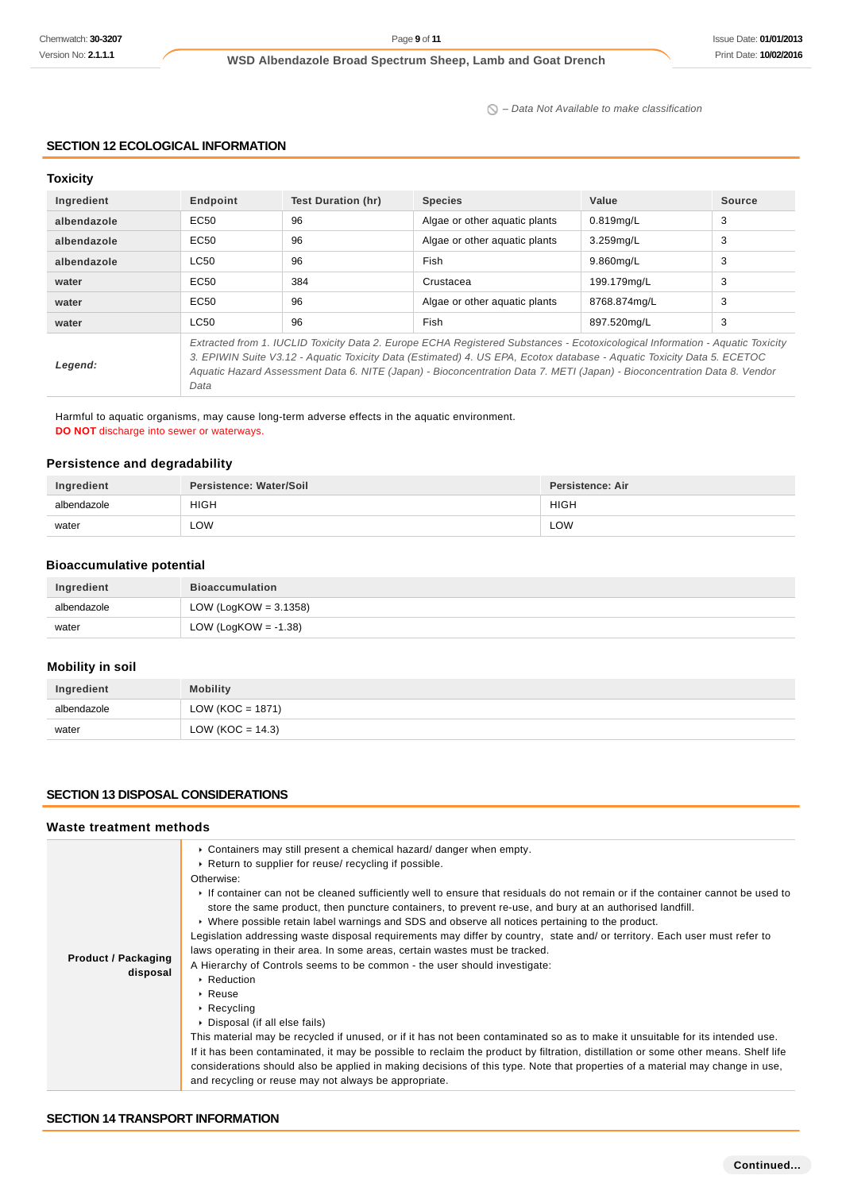$\bigcirc$  – Data Not Available to make classification

## **SECTION 12 ECOLOGICAL INFORMATION**

### **Toxicity**

| Ingredient  | Endpoint                                                                                                                                                                                                                                                                                                                                                                                    | Test Duration (hr) | <b>Species</b>                | Value        | Source |
|-------------|---------------------------------------------------------------------------------------------------------------------------------------------------------------------------------------------------------------------------------------------------------------------------------------------------------------------------------------------------------------------------------------------|--------------------|-------------------------------|--------------|--------|
| albendazole | EC50                                                                                                                                                                                                                                                                                                                                                                                        | 96                 | Algae or other aguatic plants | 0.819mg/L    | 3      |
| albendazole | EC50                                                                                                                                                                                                                                                                                                                                                                                        | 96                 | Algae or other aquatic plants | 3.259mg/L    | 3      |
| albendazole | <b>LC50</b>                                                                                                                                                                                                                                                                                                                                                                                 | 96                 | Fish                          | 9.860mg/L    | 3      |
| water       | EC50                                                                                                                                                                                                                                                                                                                                                                                        | 384                | Crustacea                     | 199.179mg/L  | 3      |
| water       | EC <sub>50</sub>                                                                                                                                                                                                                                                                                                                                                                            | 96                 | Algae or other aguatic plants | 8768.874mg/L | 3      |
| water       | <b>LC50</b>                                                                                                                                                                                                                                                                                                                                                                                 | 96                 | Fish                          | 897.520mg/L  | 3      |
| Legend:     | Extracted from 1. IUCLID Toxicity Data 2. Europe ECHA Registered Substances - Ecotoxicological Information - Aquatic Toxicity<br>3. EPIWIN Suite V3.12 - Aquatic Toxicity Data (Estimated) 4. US EPA, Ecotox database - Aquatic Toxicity Data 5. ECETOC<br>Aquatic Hazard Assessment Data 6. NITE (Japan) - Bioconcentration Data 7. METI (Japan) - Bioconcentration Data 8. Vendor<br>Data |                    |                               |              |        |

Harmful to aquatic organisms, may cause long-term adverse effects in the aquatic environment. **DO NOT** discharge into sewer or waterways.

### **Persistence and degradability**

| Ingredient  | Persistence: Water/Soil | Persistence: Air |
|-------------|-------------------------|------------------|
| albendazole | <b>HIGH</b>             | <b>HIGH</b>      |
| water       | ∟OW                     | LOW              |

## **Bioaccumulative potential**

| Ingredient  | <b>Bioaccumulation</b>   |
|-------------|--------------------------|
| albendazole | LOW (LogKOW = $3.1358$ ) |
| water       | LOW (LogKOW = -1.38)     |

### **Mobility in soil**

| Ingredient  | <b>Mobility</b>      |
|-------------|----------------------|
| albendazole | LOW ( $KOC = 1871$ ) |
| water       | LOW (KOC = $14.3$ )  |

### **SECTION 13 DISPOSAL CONSIDERATIONS**

## **Waste treatment methods**

| <b>Product / Packaging</b><br>disposal | • Containers may still present a chemical hazard/ danger when empty.<br>Return to supplier for reuse/ recycling if possible.<br>Otherwise:<br>If container can not be cleaned sufficiently well to ensure that residuals do not remain or if the container cannot be used to<br>store the same product, then puncture containers, to prevent re-use, and bury at an authorised landfill.<br>► Where possible retain label warnings and SDS and observe all notices pertaining to the product.<br>Legislation addressing waste disposal requirements may differ by country, state and/ or territory. Each user must refer to<br>laws operating in their area. In some areas, certain wastes must be tracked.<br>A Hierarchy of Controls seems to be common - the user should investigate:<br>▶ Reduction<br>$\cdot$ Reuse<br>$\cdot$ Recycling<br>• Disposal (if all else fails)<br>This material may be recycled if unused, or if it has not been contaminated so as to make it unsuitable for its intended use.<br>If it has been contaminated, it may be possible to reclaim the product by filtration, distillation or some other means. Shelf life<br>considerations should also be applied in making decisions of this type. Note that properties of a material may change in use,<br>and recycling or reuse may not always be appropriate. |
|----------------------------------------|--------------------------------------------------------------------------------------------------------------------------------------------------------------------------------------------------------------------------------------------------------------------------------------------------------------------------------------------------------------------------------------------------------------------------------------------------------------------------------------------------------------------------------------------------------------------------------------------------------------------------------------------------------------------------------------------------------------------------------------------------------------------------------------------------------------------------------------------------------------------------------------------------------------------------------------------------------------------------------------------------------------------------------------------------------------------------------------------------------------------------------------------------------------------------------------------------------------------------------------------------------------------------------------------------------------------------------------------------|
|----------------------------------------|--------------------------------------------------------------------------------------------------------------------------------------------------------------------------------------------------------------------------------------------------------------------------------------------------------------------------------------------------------------------------------------------------------------------------------------------------------------------------------------------------------------------------------------------------------------------------------------------------------------------------------------------------------------------------------------------------------------------------------------------------------------------------------------------------------------------------------------------------------------------------------------------------------------------------------------------------------------------------------------------------------------------------------------------------------------------------------------------------------------------------------------------------------------------------------------------------------------------------------------------------------------------------------------------------------------------------------------------------|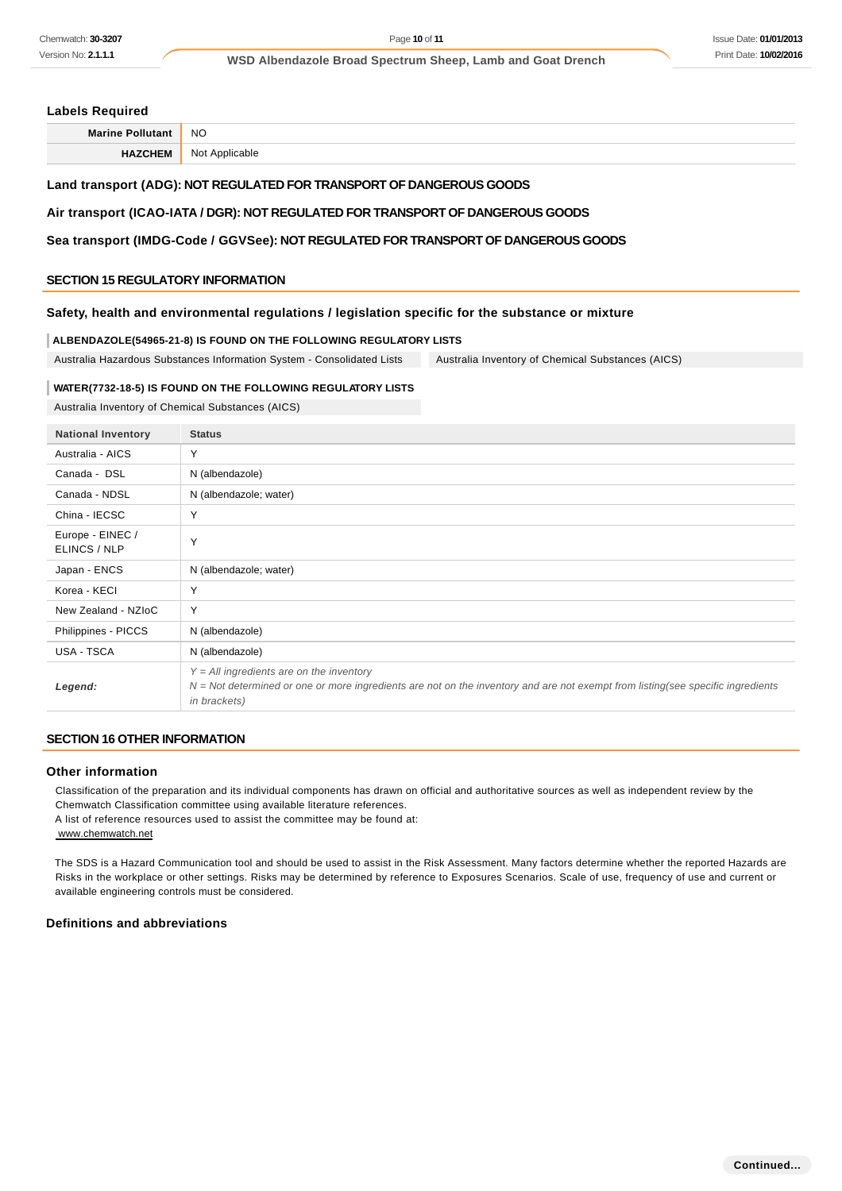### **Labels Required**

| <b>NO</b><br>$M - 1$ |            |
|----------------------|------------|
| NI∩                  | cable<br>. |

## **Land transport (ADG): NOT REGULATED FOR TRANSPORT OF DANGEROUS GOODS**

### **Air transport (ICAO-IATA / DGR): NOT REGULATED FOR TRANSPORT OF DANGEROUS GOODS**

**Sea transport (IMDG-Code / GGVSee): NOT REGULATED FOR TRANSPORT OF DANGEROUS GOODS**

### **SECTION 15 REGULATORY INFORMATION**

### **Safety, health and environmental regulations / legislation specific for the substance or mixture**

#### **ALBENDAZOLE(54965-21-8) IS FOUND ON THE FOLLOWING REGULATORY LISTS**

Australia Hazardous Substances Information System - Consolidated Lists Australia Inventory of Chemical Substances (AICS)

#### **WATER(7732-18-5) IS FOUND ON THE FOLLOWING REGULATORY LISTS**

Australia Inventory of Chemical Substances (AICS)

| <b>National Inventory</b>        | <b>Status</b>                                                                                                                                                                                   |
|----------------------------------|-------------------------------------------------------------------------------------------------------------------------------------------------------------------------------------------------|
| Australia - AICS                 | Y                                                                                                                                                                                               |
| Canada - DSL                     | N (albendazole)                                                                                                                                                                                 |
| Canada - NDSL                    | N (albendazole; water)                                                                                                                                                                          |
| China - IECSC                    | Y                                                                                                                                                                                               |
| Europe - EINEC /<br>ELINCS / NLP | Y                                                                                                                                                                                               |
| Japan - ENCS                     | N (albendazole; water)                                                                                                                                                                          |
| Korea - KECI                     | Y                                                                                                                                                                                               |
| New Zealand - NZIoC              | Y                                                                                                                                                                                               |
| Philippines - PICCS              | N (albendazole)                                                                                                                                                                                 |
| USA - TSCA                       | N (albendazole)                                                                                                                                                                                 |
| Legend:                          | $Y = All$ ingredients are on the inventory<br>$N = Not$ determined or one or more ingredients are not on the inventory and are not exempt from listing(see specific ingredients<br>in brackets) |

## **SECTION 16 OTHER INFORMATION**

### **Other information**

Classification of the preparation and its individual components has drawn on official and authoritative sources as well as independent review by the Chemwatch Classification committee using available literature references.

A list of reference resources used to assist the committee may be found at:

www.chemwatch.net

The SDS is a Hazard Communication tool and should be used to assist in the Risk Assessment. Many factors determine whether the reported Hazards are Risks in the workplace or other settings. Risks may be determined by reference to Exposures Scenarios. Scale of use, frequency of use and current or available engineering controls must be considered.

### **Definitions and abbreviations**